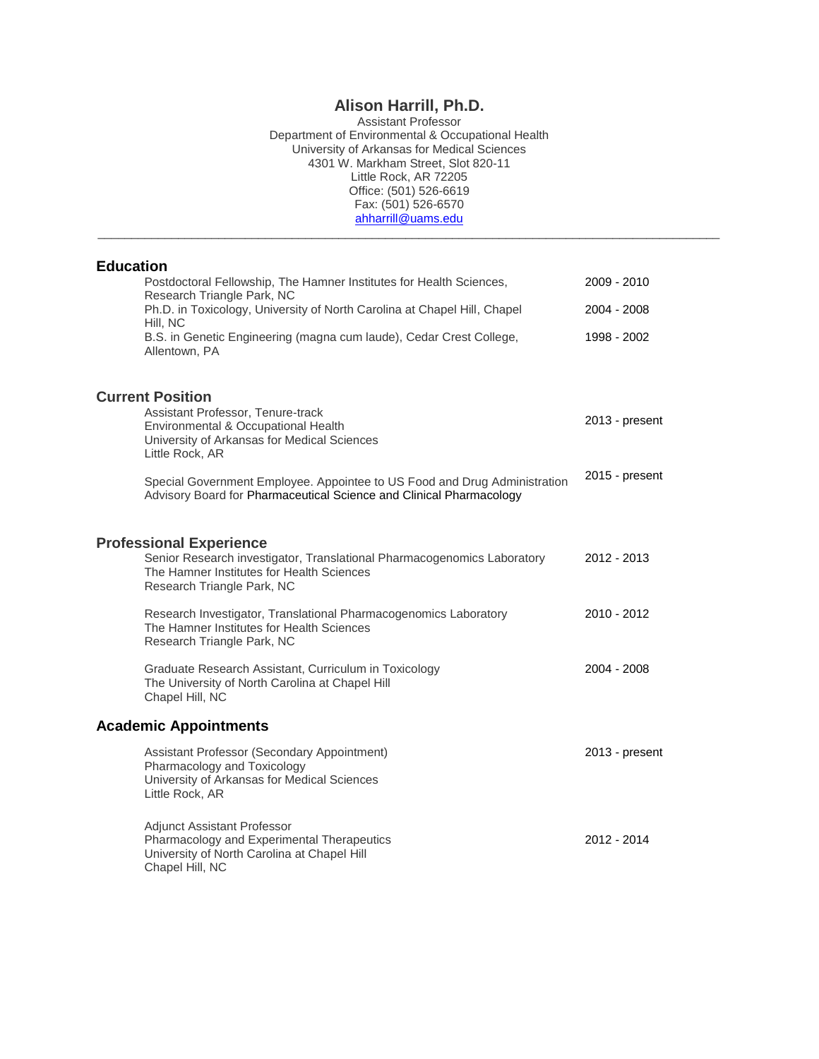# **Alison Harrill, Ph.D.**

Assistant Professor Department of Environmental & Occupational Health University of Arkansas for Medical Sciences 4301 W. Markham Street, Slot 820-11 Little Rock, AR 72205 Office: (501) 526-6619 Fax: (501) 526-6570 [ahharrill@uams.edu](mailto:ahharrill@uams.edu)

\_\_\_\_\_\_\_\_\_\_\_\_\_\_\_\_\_\_\_\_\_\_\_\_\_\_\_\_\_\_\_\_\_\_\_\_\_\_\_\_\_\_\_\_\_\_\_\_\_\_\_\_\_\_\_\_\_\_\_\_\_\_\_\_\_\_\_\_\_\_\_\_\_\_\_\_\_\_\_\_\_\_\_\_\_\_\_\_\_\_\_\_\_

# **Education**

| Postdoctoral Fellowship, The Hamner Institutes for Health Sciences,<br>Research Triangle Park, NC                                                                                    | 2009 - 2010    |
|--------------------------------------------------------------------------------------------------------------------------------------------------------------------------------------|----------------|
| Ph.D. in Toxicology, University of North Carolina at Chapel Hill, Chapel<br>Hill, NC                                                                                                 | 2004 - 2008    |
| B.S. in Genetic Engineering (magna cum laude), Cedar Crest College,<br>Allentown, PA                                                                                                 | 1998 - 2002    |
| <b>Current Position</b>                                                                                                                                                              |                |
| Assistant Professor, Tenure-track<br>Environmental & Occupational Health<br>University of Arkansas for Medical Sciences<br>Little Rock, AR                                           | 2013 - present |
| Special Government Employee. Appointee to US Food and Drug Administration<br>Advisory Board for Pharmaceutical Science and Clinical Pharmacology                                     | 2015 - present |
| <b>Professional Experience</b><br>Senior Research investigator, Translational Pharmacogenomics Laboratory<br>The Hamner Institutes for Health Sciences<br>Research Triangle Park, NC | 2012 - 2013    |
| Research Investigator, Translational Pharmacogenomics Laboratory<br>The Hamner Institutes for Health Sciences<br>Research Triangle Park, NC                                          | 2010 - 2012    |
| Graduate Research Assistant, Curriculum in Toxicology<br>The University of North Carolina at Chapel Hill<br>Chapel Hill, NC                                                          | 2004 - 2008    |
| <b>Academic Appointments</b>                                                                                                                                                         |                |
| Assistant Professor (Secondary Appointment)<br>Pharmacology and Toxicology<br>University of Arkansas for Medical Sciences<br>Little Rock, AR                                         | 2013 - present |
| Adjunct Assistant Professor<br>Pharmacology and Experimental Therapeutics<br>University of North Carolina at Chapel Hill<br>Chapel Hill, NC                                          | 2012 - 2014    |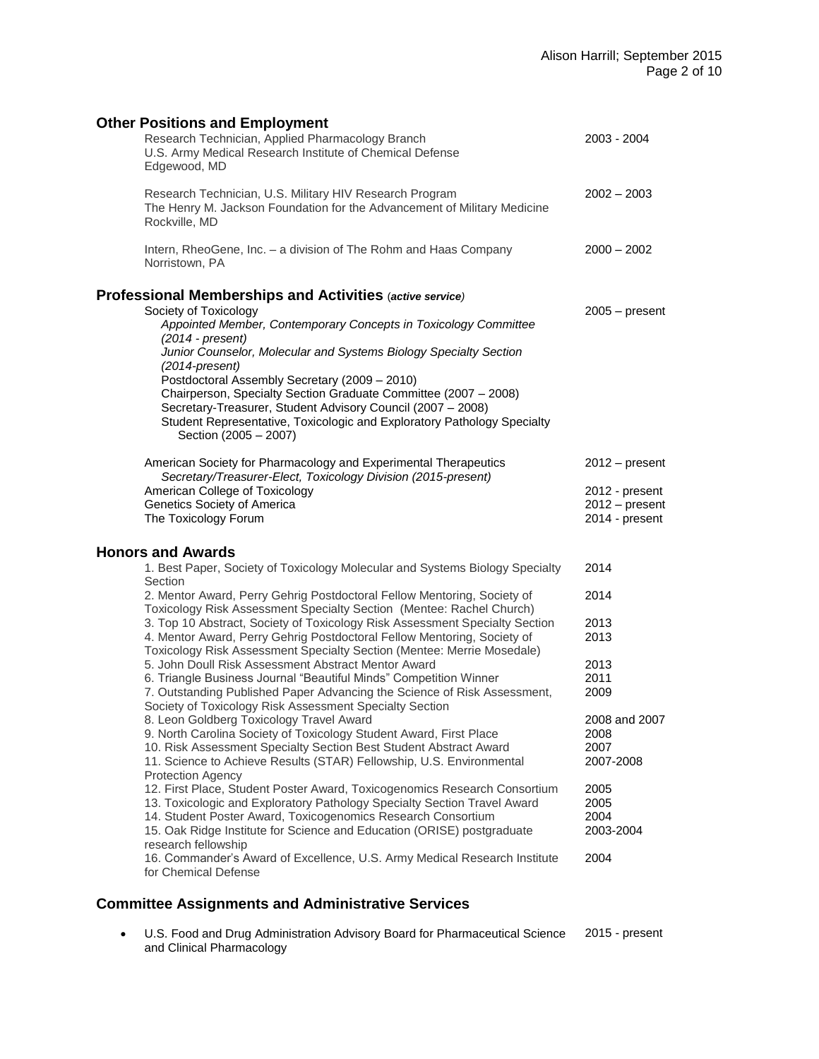| <b>Other Positions and Employment</b>                                                                                                                                                                                                                                               |                                                      |  |  |  |  |
|-------------------------------------------------------------------------------------------------------------------------------------------------------------------------------------------------------------------------------------------------------------------------------------|------------------------------------------------------|--|--|--|--|
| Research Technician, Applied Pharmacology Branch<br>U.S. Army Medical Research Institute of Chemical Defense<br>Edgewood, MD                                                                                                                                                        | 2003 - 2004                                          |  |  |  |  |
| Research Technician, U.S. Military HIV Research Program<br>The Henry M. Jackson Foundation for the Advancement of Military Medicine<br>Rockville, MD                                                                                                                                | $2002 - 2003$                                        |  |  |  |  |
| Intern, RheoGene, Inc. - a division of The Rohm and Haas Company<br>Norristown, PA                                                                                                                                                                                                  | $2000 - 2002$                                        |  |  |  |  |
| Professional Memberships and Activities (active service)                                                                                                                                                                                                                            |                                                      |  |  |  |  |
| Society of Toxicology<br>Appointed Member, Contemporary Concepts in Toxicology Committee<br>$(2014 - present)$<br>Junior Counselor, Molecular and Systems Biology Specialty Section<br>$(2014$ -present)                                                                            | $2005 - present$                                     |  |  |  |  |
| Postdoctoral Assembly Secretary (2009 - 2010)<br>Chairperson, Specialty Section Graduate Committee (2007 - 2008)<br>Secretary-Treasurer, Student Advisory Council (2007 - 2008)<br>Student Representative, Toxicologic and Exploratory Pathology Specialty<br>Section (2005 - 2007) |                                                      |  |  |  |  |
| American Society for Pharmacology and Experimental Therapeutics                                                                                                                                                                                                                     | $2012 - present$                                     |  |  |  |  |
| Secretary/Treasurer-Elect, Toxicology Division (2015-present)<br>American College of Toxicology<br>Genetics Society of America<br>The Toxicology Forum                                                                                                                              | 2012 - present<br>$2012 - present$<br>2014 - present |  |  |  |  |
|                                                                                                                                                                                                                                                                                     |                                                      |  |  |  |  |
| <b>Honors and Awards</b>                                                                                                                                                                                                                                                            |                                                      |  |  |  |  |
| 1. Best Paper, Society of Toxicology Molecular and Systems Biology Specialty<br>Section                                                                                                                                                                                             | 2014                                                 |  |  |  |  |
| 2. Mentor Award, Perry Gehrig Postdoctoral Fellow Mentoring, Society of<br>Toxicology Risk Assessment Specialty Section (Mentee: Rachel Church)                                                                                                                                     | 2014                                                 |  |  |  |  |
| 3. Top 10 Abstract, Society of Toxicology Risk Assessment Specialty Section                                                                                                                                                                                                         | 2013                                                 |  |  |  |  |
| 4. Mentor Award, Perry Gehrig Postdoctoral Fellow Mentoring, Society of<br>Toxicology Risk Assessment Specialty Section (Mentee: Merrie Mosedale)                                                                                                                                   | 2013                                                 |  |  |  |  |
| 5. John Doull Risk Assessment Abstract Mentor Award                                                                                                                                                                                                                                 | 2013                                                 |  |  |  |  |
| 6. Triangle Business Journal "Beautiful Minds" Competition Winner                                                                                                                                                                                                                   | 2011                                                 |  |  |  |  |
| 7. Outstanding Published Paper Advancing the Science of Risk Assessment,<br>Society of Toxicology Risk Assessment Specialty Section                                                                                                                                                 | 2009                                                 |  |  |  |  |
| 8. Leon Goldberg Toxicology Travel Award                                                                                                                                                                                                                                            | 2008 and 2007                                        |  |  |  |  |
| 9. North Carolina Society of Toxicology Student Award, First Place                                                                                                                                                                                                                  | 2008                                                 |  |  |  |  |
| 10. Risk Assessment Specialty Section Best Student Abstract Award                                                                                                                                                                                                                   | 2007                                                 |  |  |  |  |
| 11. Science to Achieve Results (STAR) Fellowship, U.S. Environmental<br><b>Protection Agency</b>                                                                                                                                                                                    | 2007-2008                                            |  |  |  |  |
| 12. First Place, Student Poster Award, Toxicogenomics Research Consortium                                                                                                                                                                                                           | 2005                                                 |  |  |  |  |
| 13. Toxicologic and Exploratory Pathology Specialty Section Travel Award                                                                                                                                                                                                            | 2005                                                 |  |  |  |  |
| 14. Student Poster Award, Toxicogenomics Research Consortium<br>15. Oak Ridge Institute for Science and Education (ORISE) postgraduate                                                                                                                                              | 2004<br>2003-2004                                    |  |  |  |  |
| research fellowship<br>16. Commander's Award of Excellence, U.S. Army Medical Research Institute                                                                                                                                                                                    |                                                      |  |  |  |  |
| for Chemical Defense                                                                                                                                                                                                                                                                | 2004                                                 |  |  |  |  |

#### U.S. Food and Drug Administration Advisory Board for Pharmaceutical Science and Clinical Pharmacology 2015 - present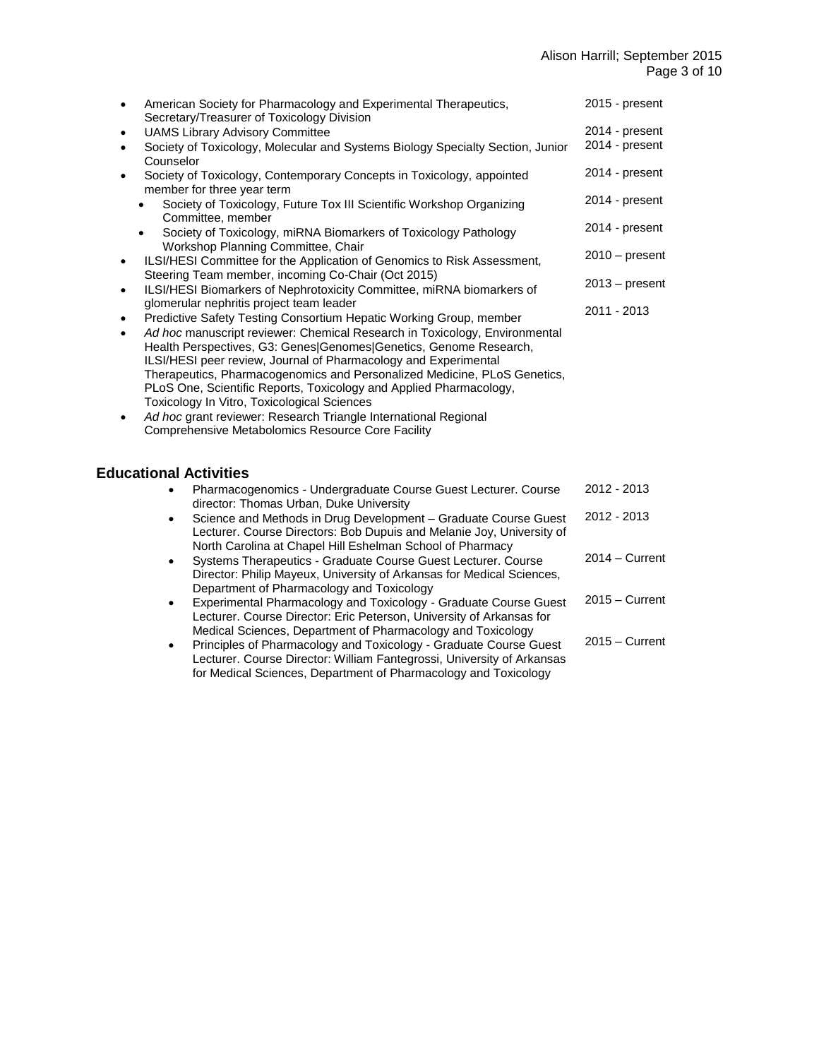| American Society for Pharmacology and Experimental Therapeutics,<br>٠<br>Secretary/Treasurer of Toxicology Division                                                                                                                                                                                                                                                                                                                                                                                                                                                                                                                                             | 2015 - present   |
|-----------------------------------------------------------------------------------------------------------------------------------------------------------------------------------------------------------------------------------------------------------------------------------------------------------------------------------------------------------------------------------------------------------------------------------------------------------------------------------------------------------------------------------------------------------------------------------------------------------------------------------------------------------------|------------------|
| <b>UAMS Library Advisory Committee</b><br>$\bullet$                                                                                                                                                                                                                                                                                                                                                                                                                                                                                                                                                                                                             | 2014 - present   |
| Society of Toxicology, Molecular and Systems Biology Specialty Section, Junior<br>$\bullet$<br>Counselor                                                                                                                                                                                                                                                                                                                                                                                                                                                                                                                                                        | 2014 - present   |
| Society of Toxicology, Contemporary Concepts in Toxicology, appointed<br>$\bullet$<br>member for three year term                                                                                                                                                                                                                                                                                                                                                                                                                                                                                                                                                | 2014 - present   |
| Society of Toxicology, Future Tox III Scientific Workshop Organizing<br>Committee, member                                                                                                                                                                                                                                                                                                                                                                                                                                                                                                                                                                       | 2014 - present   |
| Society of Toxicology, miRNA Biomarkers of Toxicology Pathology<br>$\bullet$<br>Workshop Planning Committee, Chair                                                                                                                                                                                                                                                                                                                                                                                                                                                                                                                                              | 2014 - present   |
| ILSI/HESI Committee for the Application of Genomics to Risk Assessment,<br>$\bullet$<br>Steering Team member, incoming Co-Chair (Oct 2015)                                                                                                                                                                                                                                                                                                                                                                                                                                                                                                                      | $2010 - present$ |
| ILSI/HESI Biomarkers of Nephrotoxicity Committee, miRNA biomarkers of<br>$\bullet$<br>glomerular nephritis project team leader                                                                                                                                                                                                                                                                                                                                                                                                                                                                                                                                  | $2013 - present$ |
| Predictive Safety Testing Consortium Hepatic Working Group, member<br>$\bullet$<br>Ad hoc manuscript reviewer: Chemical Research in Toxicology, Environmental<br>$\bullet$<br>Health Perspectives, G3: Genes Genomes Genetics, Genome Research,<br>ILSI/HESI peer review, Journal of Pharmacology and Experimental<br>Therapeutics, Pharmacogenomics and Personalized Medicine, PLoS Genetics,<br>PLoS One, Scientific Reports, Toxicology and Applied Pharmacology,<br>Toxicology In Vitro, Toxicological Sciences<br>Ad hoc grant reviewer: Research Triangle International Regional<br>$\bullet$<br><b>Comprehensive Metabolomics Resource Core Facility</b> | 2011 - 2013      |
| <b>Educational Activities</b>                                                                                                                                                                                                                                                                                                                                                                                                                                                                                                                                                                                                                                   |                  |
| Pharmacogenomics - Undergraduate Course Guest Lecturer. Course<br>director: Thomas Urban, Duke University                                                                                                                                                                                                                                                                                                                                                                                                                                                                                                                                                       | 2012 - 2013      |
| Science and Methods in Drug Development - Graduate Course Guest<br>$\bullet$<br>Lecturer. Course Directors: Bob Dupuis and Melanie Joy, University of<br>North Carolina at Chapel Hill Eshelman School of Pharmacy                                                                                                                                                                                                                                                                                                                                                                                                                                              | 2012 - 2013      |
| Systems Therapeutics - Graduate Course Guest Lecturer. Course<br>$\bullet$<br>Director: Philip Mayeux, University of Arkansas for Medical Sciences,                                                                                                                                                                                                                                                                                                                                                                                                                                                                                                             | $2014 -$ Current |
| Department of Pharmacology and Toxicology<br>Experimental Pharmacology and Toxicology - Graduate Course Guest<br>$\bullet$<br>Lecturer. Course Director: Eric Peterson, University of Arkansas for                                                                                                                                                                                                                                                                                                                                                                                                                                                              | $2015 -$ Current |
| Medical Sciences, Department of Pharmacology and Toxicology<br>Principles of Pharmacology and Toxicology - Graduate Course Guest<br>Lecturer. Course Director: William Fantegrossi, University of Arkansas                                                                                                                                                                                                                                                                                                                                                                                                                                                      | $2015 -$ Current |

for Medical Sciences, Department of Pharmacology and Toxicology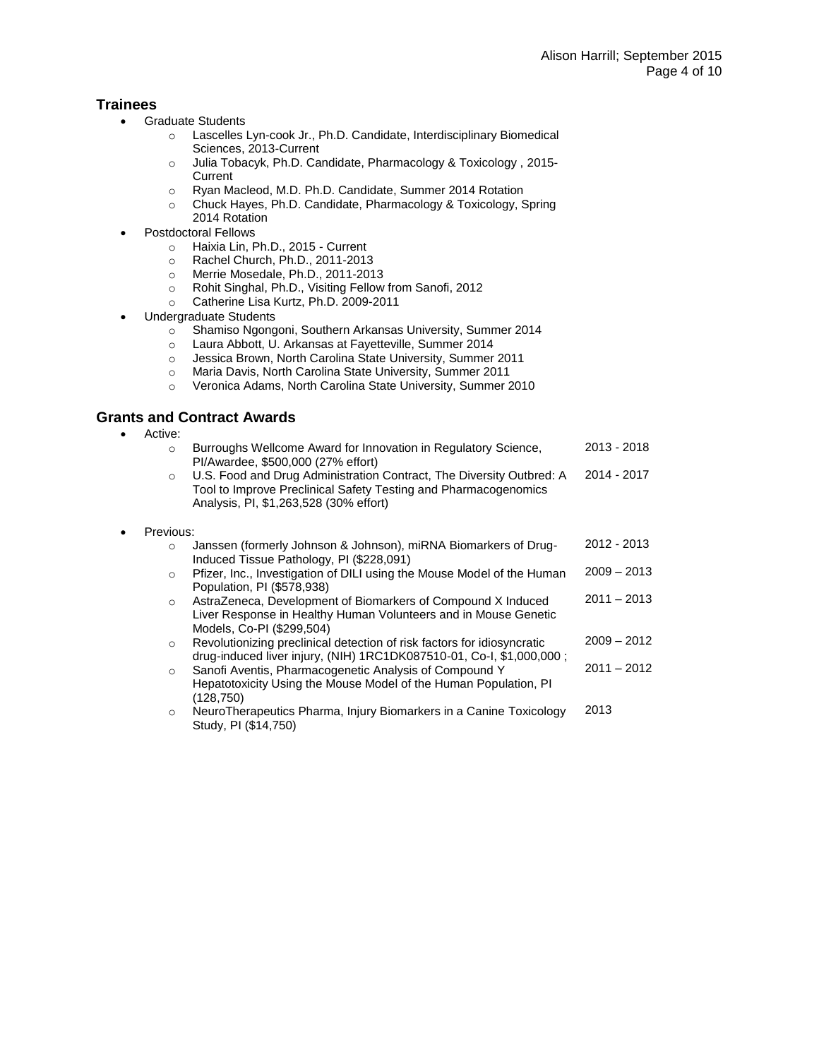## **Trainees**

- Graduate Students
	- o Lascelles Lyn-cook Jr., Ph.D. Candidate, Interdisciplinary Biomedical Sciences, 2013-Current
	- o Julia Tobacyk, Ph.D. Candidate, Pharmacology & Toxicology , 2015- **Current**
	- o Ryan Macleod, M.D. Ph.D. Candidate, Summer 2014 Rotation
	- o Chuck Hayes, Ph.D. Candidate, Pharmacology & Toxicology, Spring 2014 Rotation
- Postdoctoral Fellows
	- o Haixia Lin, Ph.D., 2015 Current
	- o Rachel Church, Ph.D., 2011-2013
	- o Merrie Mosedale, Ph.D., 2011-2013
	- o Rohit Singhal, Ph.D., Visiting Fellow from Sanofi, 2012
	- o Catherine Lisa Kurtz, Ph.D. 2009-2011
- Undergraduate Students
	- o Shamiso Ngongoni, Southern Arkansas University, Summer 2014<br>
	o Laura Abbott, U. Arkansas at Fayetteville, Summer 2014
	- Laura Abbott, U. Arkansas at Fayetteville, Summer 2014
	- o Jessica Brown, North Carolina State University, Summer 2011
	- o Maria Davis, North Carolina State University, Summer 2011
	- o Veronica Adams, North Carolina State University, Summer 2010

## **Grants and Contract Awards**

• Active:

|           | $\Omega$  | Burroughs Wellcome Award for Innovation in Regulatory Science,<br>PI/Awardee, \$500,000 (27% effort)                                                                              | 2013 - 2018   |
|-----------|-----------|-----------------------------------------------------------------------------------------------------------------------------------------------------------------------------------|---------------|
|           | $\circ$   | U.S. Food and Drug Administration Contract, The Diversity Outbred: A<br>Tool to Improve Preclinical Safety Testing and Pharmacogenomics<br>Analysis, PI, \$1,263,528 (30% effort) | 2014 - 2017   |
| $\bullet$ | Previous: |                                                                                                                                                                                   |               |
|           | $\circ$   | Janssen (formerly Johnson & Johnson), miRNA Biomarkers of Drug-<br>Induced Tissue Pathology, PI (\$228,091)                                                                       | 2012 - 2013   |
|           | $\circ$   | Pfizer, Inc., Investigation of DILI using the Mouse Model of the Human<br>Population, PI (\$578,938)                                                                              | $2009 - 2013$ |
|           | $\circ$   | AstraZeneca, Development of Biomarkers of Compound X Induced<br>Liver Response in Healthy Human Volunteers and in Mouse Genetic<br>Models, Co-PI (\$299,504)                      | $2011 - 2013$ |
|           | $\circ$   | Revolutionizing preclinical detection of risk factors for idiosyncratic<br>drug-induced liver injury, (NIH) 1RC1DK087510-01, Co-I, \$1,000,000;                                   | $2009 - 2012$ |
|           | $\circ$   | Sanofi Aventis, Pharmacogenetic Analysis of Compound Y<br>Hepatotoxicity Using the Mouse Model of the Human Population, PI<br>(128, 750)                                          | $2011 - 2012$ |
|           | $\circ$   | NeuroTherapeutics Pharma, Injury Biomarkers in a Canine Toxicology<br>Study, PI (\$14,750)                                                                                        | 2013          |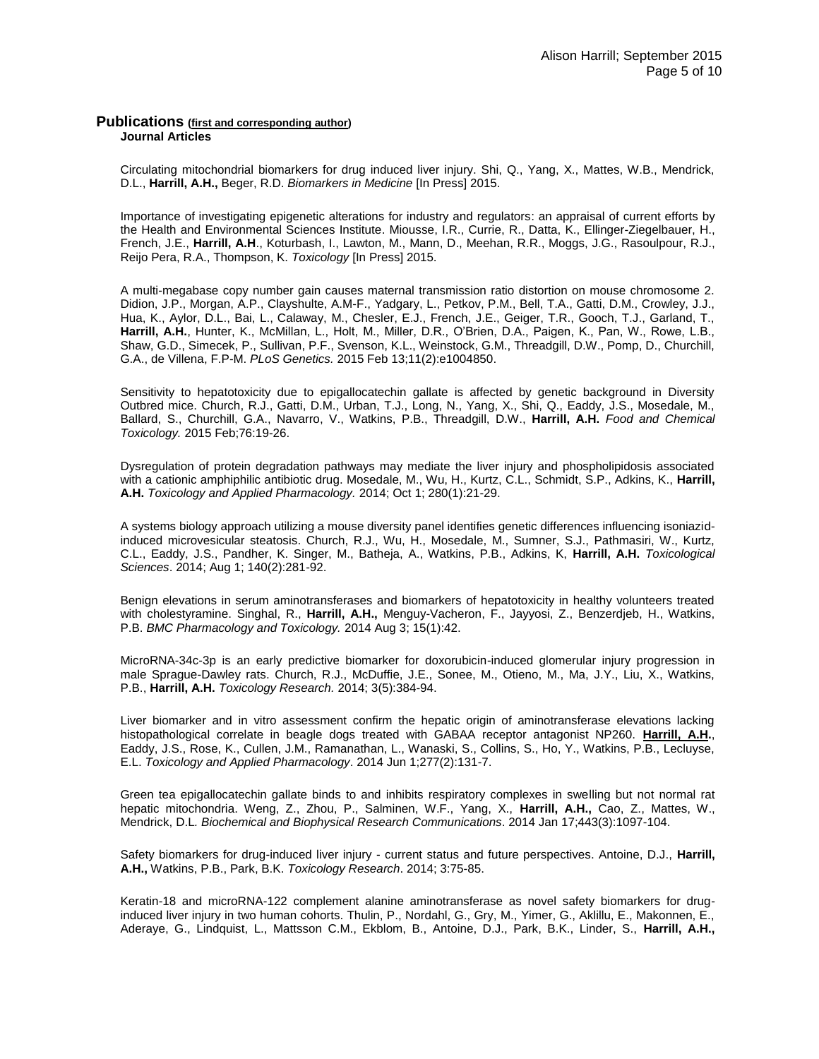### **Publications (first and corresponding author) Journal Articles**

Circulating mitochondrial biomarkers for drug induced liver injury. Shi, Q., Yang, X., Mattes, W.B., Mendrick, D.L., **Harrill, A.H.,** Beger, R.D. *Biomarkers in Medicine* [In Press] 2015.

Importance of investigating epigenetic alterations for industry and regulators: an appraisal of current efforts by the Health and Environmental Sciences Institute. Miousse, I.R., Currie, R., Datta, K., Ellinger-Ziegelbauer, H., French, J.E., **Harrill, A.H**., Koturbash, I., Lawton, M., Mann, D., Meehan, R.R., Moggs, J.G., Rasoulpour, R.J., Reijo Pera, R.A., Thompson, K. *Toxicology* [In Press] 2015.

A multi-megabase copy number gain causes maternal transmission ratio distortion on mouse chromosome 2. Didion, J.P., Morgan, A.P., Clayshulte, A.M-F., Yadgary, L., Petkov, P.M., Bell, T.A., Gatti, D.M., Crowley, J.J., Hua, K., Aylor, D.L., Bai, L., Calaway, M., Chesler, E.J., French, J.E., Geiger, T.R., Gooch, T.J., Garland, T., **Harrill, A.H.**, Hunter, K., McMillan, L., Holt, M., Miller, D.R., O'Brien, D.A., Paigen, K., Pan, W., Rowe, L.B., Shaw, G.D., Simecek, P., Sullivan, P.F., Svenson, K.L., Weinstock, G.M., Threadgill, D.W., Pomp, D., Churchill, G.A., de Villena, F.P-M. *PLoS Genetics.* 2015 Feb 13;11(2):e1004850.

Sensitivity to hepatotoxicity due to epigallocatechin gallate is affected by genetic background in Diversity Outbred mice. Church, R.J., Gatti, D.M., Urban, T.J., Long, N., Yang, X., Shi, Q., Eaddy, J.S., Mosedale, M., Ballard, S., Churchill, G.A., Navarro, V., Watkins, P.B., Threadgill, D.W., **Harrill, A.H.** *Food and Chemical Toxicology.* 2015 Feb;76:19-26.

Dysregulation of protein degradation pathways may mediate the liver injury and phospholipidosis associated with a cationic amphiphilic antibiotic drug. Mosedale, M., Wu, H., Kurtz, C.L., Schmidt, S.P., Adkins, K., **Harrill, A.H.** *Toxicology and Applied Pharmacology.* 2014; Oct 1; 280(1):21-29.

A systems biology approach utilizing a mouse diversity panel identifies genetic differences influencing isoniazidinduced microvesicular steatosis. Church, R.J., Wu, H., Mosedale, M., Sumner, S.J., Pathmasiri, W., Kurtz, C.L., Eaddy, J.S., Pandher, K. Singer, M., Batheja, A., Watkins, P.B., Adkins, K, **Harrill, A.H.** *Toxicological Sciences*. 2014; Aug 1; 140(2):281-92.

Benign elevations in serum aminotransferases and biomarkers of hepatotoxicity in healthy volunteers treated with cholestyramine. Singhal, R., **Harrill, A.H.,** Menguy-Vacheron, F., Jayyosi, Z., Benzerdjeb, H., Watkins, P.B. *BMC Pharmacology and Toxicology.* 2014 Aug 3; 15(1):42.

MicroRNA-34c-3p is an early predictive biomarker for doxorubicin-induced glomerular injury progression in male Sprague-Dawley rats. Church, R.J., McDuffie, J.E., Sonee, M., Otieno, M., Ma, J.Y., Liu, X., Watkins, P.B., **Harrill, A.H.** *Toxicology Research.* 2014; 3(5):384-94.

Liver biomarker and in vitro assessment confirm the hepatic origin of aminotransferase elevations lacking histopathological correlate in beagle dogs treated with GABAA receptor antagonist NP260. **Harrill, A.H.**, Eaddy, J.S., Rose, K., Cullen, J.M., Ramanathan, L., Wanaski, S., Collins, S., Ho, Y., Watkins, P.B., Lecluyse, E.L. *Toxicology and Applied Pharmacology*. 2014 Jun 1;277(2):131-7.

Green tea epigallocatechin gallate binds to and inhibits respiratory complexes in swelling but not normal rat hepatic mitochondria. Weng, Z., Zhou, P., Salminen, W.F., Yang, X., **Harrill, A.H.,** Cao, Z., Mattes, W., Mendrick, D.L*. Biochemical and Biophysical Research Communications*. 2014 Jan 17;443(3):1097-104.

Safety biomarkers for drug-induced liver injury - current status and future perspectives. Antoine, D.J., **Harrill, A.H.,** Watkins, P.B., Park, B.K. *Toxicology Research*. 2014; 3:75-85.

Keratin-18 and microRNA-122 complement alanine aminotransferase as novel safety biomarkers for druginduced liver injury in two human cohorts. Thulin, P., Nordahl, G., Gry, M., Yimer, G., Aklillu, E., Makonnen, E., Aderaye, G., Lindquist, L., Mattsson C.M., Ekblom, B., Antoine, D.J., Park, B.K., Linder, S., **Harrill, A.H.,**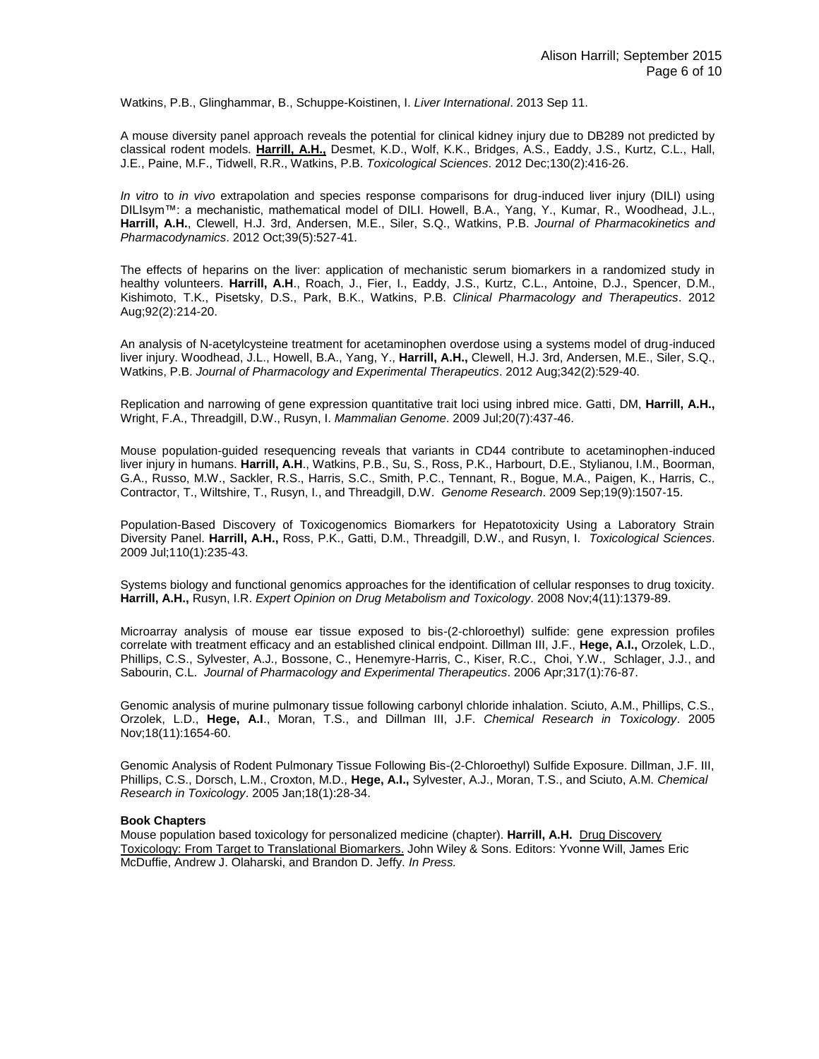Watkins, P.B., Glinghammar, B., Schuppe-Koistinen, I. *Liver International*. 2013 Sep 11.

A mouse diversity panel approach reveals the potential for clinical kidney injury due to DB289 not predicted by classical rodent models. **Harrill, A.H.,** Desmet, K.D., Wolf, K.K., Bridges, A.S., Eaddy, J.S., Kurtz, C.L., Hall, J.E., Paine, M.F., Tidwell, R.R., Watkins, P.B. *Toxicological Sciences*. 2012 Dec;130(2):416-26.

*In vitro* to *in vivo* extrapolation and species response comparisons for drug-induced liver injury (DILI) using DILIsym™: a mechanistic, mathematical model of DILI. Howell, B.A., Yang, Y., Kumar, R., Woodhead, J.L., **Harrill, A.H.**, Clewell, H.J. 3rd, Andersen, M.E., Siler, S.Q., Watkins, P.B. *Journal of Pharmacokinetics and Pharmacodynamics*. 2012 Oct;39(5):527-41.

The effects of heparins on the liver: application of mechanistic serum biomarkers in a randomized study in healthy volunteers. **Harrill, A.H**., Roach, J., Fier, I., Eaddy, J.S., Kurtz, C.L., Antoine, D.J., Spencer, D.M., Kishimoto, T.K., Pisetsky, D.S., Park, B.K., Watkins, P.B. *Clinical Pharmacology and Therapeutics*. 2012 Aug;92(2):214-20.

An analysis of N-acetylcysteine treatment for acetaminophen overdose using a systems model of drug-induced liver injury. Woodhead, J.L., Howell, B.A., Yang, Y., **Harrill, A.H.,** Clewell, H.J. 3rd, Andersen, M.E., Siler, S.Q., Watkins, P.B. *Journal of Pharmacology and Experimental Therapeutics*. 2012 Aug;342(2):529-40.

Replication and narrowing of gene expression quantitative trait loci using inbred mice. Gatti, DM, **Harrill, A.H.,** Wright, F.A., Threadgill, D.W., Rusyn, I. *Mammalian Genome*. 2009 Jul;20(7):437-46.

Mouse population-guided resequencing reveals that variants in CD44 contribute to acetaminophen-induced liver injury in humans. **Harrill, A.H**., Watkins, P.B., Su, S., Ross, P.K., Harbourt, D.E., Stylianou, I.M., Boorman, G.A., Russo, M.W., Sackler, R.S., Harris, S.C., Smith, P.C., Tennant, R., Bogue, M.A., Paigen, K., Harris, C., Contractor, T., Wiltshire, T., Rusyn, I., and Threadgill, D.W. *Genome Research*. 2009 Sep;19(9):1507-15.

Population-Based Discovery of Toxicogenomics Biomarkers for Hepatotoxicity Using a Laboratory Strain Diversity Panel. **Harrill, A.H.,** Ross, P.K., Gatti, D.M., Threadgill, D.W., and Rusyn, I. *Toxicological Sciences*. 2009 Jul;110(1):235-43.

Systems biology and functional genomics approaches for the identification of cellular responses to drug toxicity. **Harrill, A.H.,** Rusyn, I.R. *Expert Opinion on Drug Metabolism and Toxicology*. 2008 Nov;4(11):1379-89.

Microarray analysis of mouse ear tissue exposed to bis-(2-chloroethyl) sulfide: gene expression profiles correlate with treatment efficacy and an established clinical endpoint. Dillman III, J.F., **Hege, A.I.,** Orzolek, L.D., Phillips, C.S., Sylvester, A.J., Bossone, C., Henemyre-Harris, C., Kiser, R.C., Choi, Y.W., Schlager, J.J., and Sabourin, C.L. *Journal of Pharmacology and Experimental Therapeutics*. 2006 Apr;317(1):76-87.

Genomic analysis of murine pulmonary tissue following carbonyl chloride inhalation. Sciuto, A.M., Phillips, C.S., Orzolek, L.D., **Hege, A.I**., Moran, T.S., and Dillman III, J.F. *Chemical Research in Toxicology*. 2005 Nov;18(11):1654-60.

Genomic Analysis of Rodent Pulmonary Tissue Following Bis-(2-Chloroethyl) Sulfide Exposure. Dillman, J.F. III, Phillips, C.S., Dorsch, L.M., Croxton, M.D., **Hege, A.I.,** Sylvester, A.J., Moran, T.S., and Sciuto, A.M. *Chemical Research in Toxicology*. 2005 Jan;18(1):28-34.

#### **Book Chapters**

Mouse population based toxicology for personalized medicine (chapter). **Harrill, A.H.** Drug Discovery Toxicology: From Target to Translational Biomarkers. John Wiley & Sons. Editors: Yvonne Will, James Eric McDuffie, Andrew J. Olaharski, and Brandon D. Jeffy. *In Press.*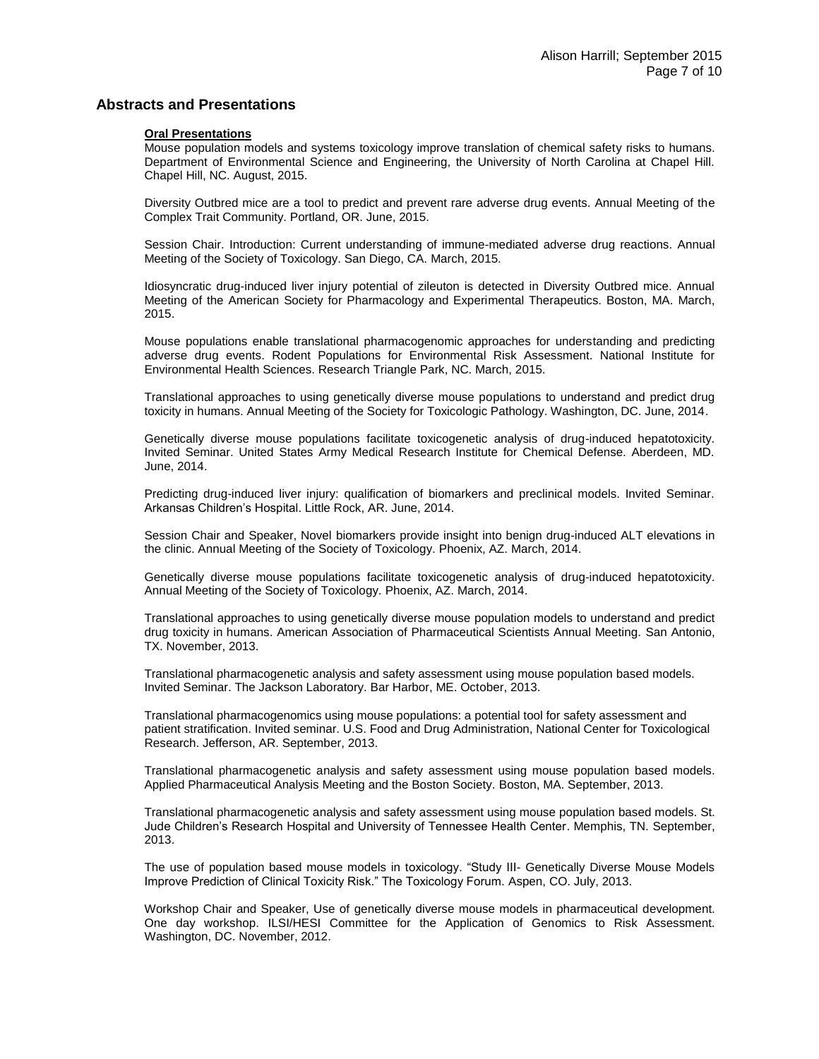## **Abstracts and Presentations**

#### **Oral Presentations**

Mouse population models and systems toxicology improve translation of chemical safety risks to humans. Department of Environmental Science and Engineering, the University of North Carolina at Chapel Hill. Chapel Hill, NC. August, 2015.

Diversity Outbred mice are a tool to predict and prevent rare adverse drug events. Annual Meeting of the Complex Trait Community. Portland, OR. June, 2015.

Session Chair. Introduction: Current understanding of immune-mediated adverse drug reactions. Annual Meeting of the Society of Toxicology. San Diego, CA. March, 2015.

Idiosyncratic drug-induced liver injury potential of zileuton is detected in Diversity Outbred mice. Annual Meeting of the American Society for Pharmacology and Experimental Therapeutics. Boston, MA. March, 2015.

Mouse populations enable translational pharmacogenomic approaches for understanding and predicting adverse drug events. Rodent Populations for Environmental Risk Assessment. National Institute for Environmental Health Sciences. Research Triangle Park, NC. March, 2015.

Translational approaches to using genetically diverse mouse populations to understand and predict drug toxicity in humans. Annual Meeting of the Society for Toxicologic Pathology. Washington, DC. June, 2014.

Genetically diverse mouse populations facilitate toxicogenetic analysis of drug-induced hepatotoxicity. Invited Seminar. United States Army Medical Research Institute for Chemical Defense. Aberdeen, MD. June, 2014.

Predicting drug-induced liver injury: qualification of biomarkers and preclinical models. Invited Seminar. Arkansas Children's Hospital. Little Rock, AR. June, 2014.

Session Chair and Speaker, Novel biomarkers provide insight into benign drug-induced ALT elevations in the clinic. Annual Meeting of the Society of Toxicology. Phoenix, AZ. March, 2014.

Genetically diverse mouse populations facilitate toxicogenetic analysis of drug-induced hepatotoxicity. Annual Meeting of the Society of Toxicology. Phoenix, AZ. March, 2014.

Translational approaches to using genetically diverse mouse population models to understand and predict drug toxicity in humans. American Association of Pharmaceutical Scientists Annual Meeting. San Antonio, TX. November, 2013.

Translational pharmacogenetic analysis and safety assessment using mouse population based models. Invited Seminar. The Jackson Laboratory. Bar Harbor, ME. October, 2013.

Translational pharmacogenomics using mouse populations: a potential tool for safety assessment and patient stratification. Invited seminar. U.S. Food and Drug Administration, National Center for Toxicological Research. Jefferson, AR. September, 2013.

Translational pharmacogenetic analysis and safety assessment using mouse population based models. Applied Pharmaceutical Analysis Meeting and the Boston Society. Boston, MA. September, 2013.

Translational pharmacogenetic analysis and safety assessment using mouse population based models. St. Jude Children's Research Hospital and University of Tennessee Health Center. Memphis, TN. September, 2013.

The use of population based mouse models in toxicology. "Study III- Genetically Diverse Mouse Models Improve Prediction of Clinical Toxicity Risk." The Toxicology Forum. Aspen, CO. July, 2013.

Workshop Chair and Speaker, Use of genetically diverse mouse models in pharmaceutical development. One day workshop. ILSI/HESI Committee for the Application of Genomics to Risk Assessment. Washington, DC. November, 2012.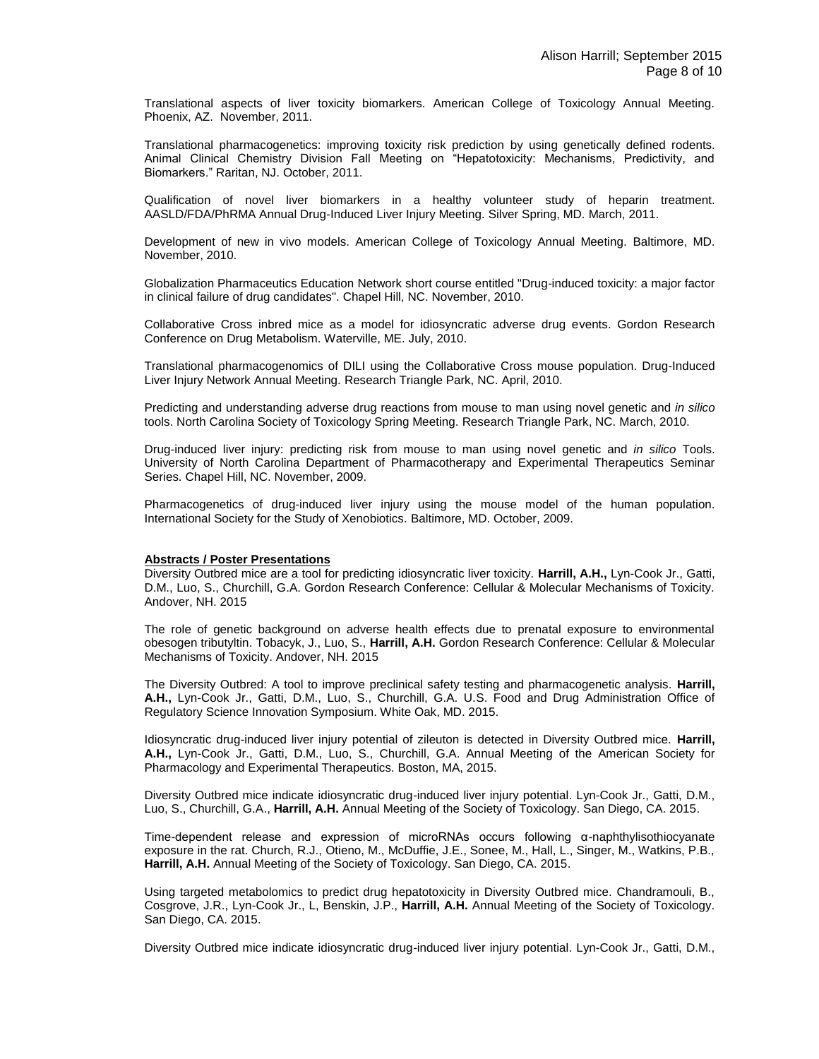Translational aspects of liver toxicity biomarkers. American College of Toxicology Annual Meeting. Phoenix, AZ. November, 2011.

Translational pharmacogenetics: improving toxicity risk prediction by using genetically defined rodents. Animal Clinical Chemistry Division Fall Meeting on "Hepatotoxicity: Mechanisms, Predictivity, and Biomarkers." Raritan, NJ. October, 2011.

Qualification of novel liver biomarkers in a healthy volunteer study of heparin treatment. AASLD/FDA/PhRMA Annual Drug-Induced Liver Injury Meeting. Silver Spring, MD. March, 2011.

Development of new in vivo models. American College of Toxicology Annual Meeting. Baltimore, MD. November, 2010.

Globalization Pharmaceutics Education Network short course entitled "Drug-induced toxicity: a major factor in clinical failure of drug candidates". Chapel Hill, NC. November, 2010.

Collaborative Cross inbred mice as a model for idiosyncratic adverse drug events. Gordon Research Conference on Drug Metabolism. Waterville, ME. July, 2010.

Translational pharmacogenomics of DILI using the Collaborative Cross mouse population. Drug-Induced Liver Injury Network Annual Meeting. Research Triangle Park, NC. April, 2010.

Predicting and understanding adverse drug reactions from mouse to man using novel genetic and *in silico* tools. North Carolina Society of Toxicology Spring Meeting. Research Triangle Park, NC. March, 2010.

Drug-induced liver injury: predicting risk from mouse to man using novel genetic and *in silico* Tools. University of North Carolina Department of Pharmacotherapy and Experimental Therapeutics Seminar Series. Chapel Hill, NC. November, 2009.

Pharmacogenetics of drug-induced liver injury using the mouse model of the human population. International Society for the Study of Xenobiotics. Baltimore, MD. October, 2009.

### **Abstracts / Poster Presentations**

Diversity Outbred mice are a tool for predicting idiosyncratic liver toxicity. **Harrill, A.H.,** Lyn-Cook Jr., Gatti, D.M., Luo, S., Churchill, G.A. Gordon Research Conference: Cellular & Molecular Mechanisms of Toxicity. Andover, NH. 2015

The role of genetic background on adverse health effects due to prenatal exposure to environmental obesogen tributyltin. Tobacyk, J., Luo, S., **Harrill, A.H.** Gordon Research Conference: Cellular & Molecular Mechanisms of Toxicity. Andover, NH. 2015

The Diversity Outbred: A tool to improve preclinical safety testing and pharmacogenetic analysis. **Harrill, A.H.,** Lyn-Cook Jr., Gatti, D.M., Luo, S., Churchill, G.A. U.S. Food and Drug Administration Office of Regulatory Science Innovation Symposium. White Oak, MD. 2015.

Idiosyncratic drug-induced liver injury potential of zileuton is detected in Diversity Outbred mice. **Harrill, A.H.,** Lyn-Cook Jr., Gatti, D.M., Luo, S., Churchill, G.A. Annual Meeting of the American Society for Pharmacology and Experimental Therapeutics. Boston, MA, 2015.

Diversity Outbred mice indicate idiosyncratic drug-induced liver injury potential. Lyn-Cook Jr., Gatti, D.M., Luo, S., Churchill, G.A., **Harrill, A.H.** Annual Meeting of the Society of Toxicology. San Diego, CA. 2015.

Time-dependent release and expression of microRNAs occurs following α-naphthylisothiocyanate exposure in the rat. Church, R.J., Otieno, M., McDuffie, J.E., Sonee, M., Hall, L., Singer, M., Watkins, P.B., **Harrill, A.H.** Annual Meeting of the Society of Toxicology. San Diego, CA. 2015.

Using targeted metabolomics to predict drug hepatotoxicity in Diversity Outbred mice. Chandramouli, B., Cosgrove, J.R., Lyn-Cook Jr., L, Benskin, J.P., **Harrill, A.H.** Annual Meeting of the Society of Toxicology. San Diego, CA. 2015.

Diversity Outbred mice indicate idiosyncratic drug-induced liver injury potential. Lyn-Cook Jr., Gatti, D.M.,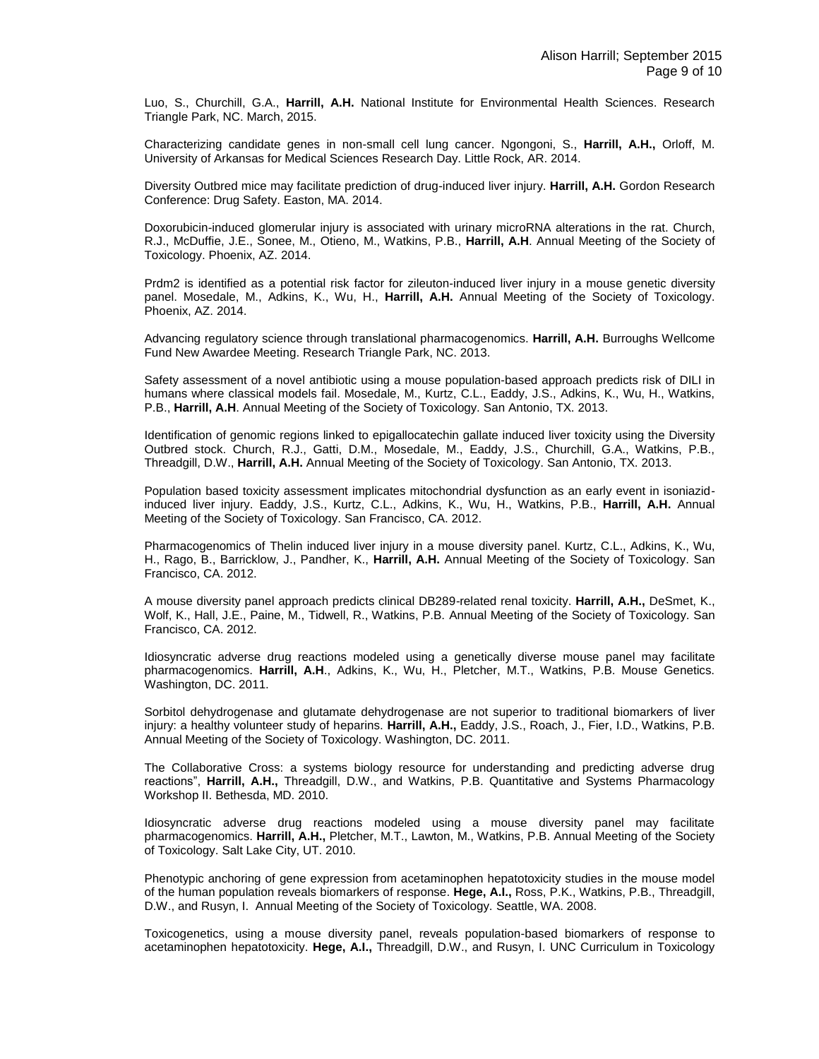Luo, S., Churchill, G.A., **Harrill, A.H.** National Institute for Environmental Health Sciences. Research Triangle Park, NC. March, 2015.

Characterizing candidate genes in non-small cell lung cancer. Ngongoni, S., **Harrill, A.H.,** Orloff, M. University of Arkansas for Medical Sciences Research Day. Little Rock, AR. 2014.

Diversity Outbred mice may facilitate prediction of drug-induced liver injury. **Harrill, A.H.** Gordon Research Conference: Drug Safety. Easton, MA. 2014.

Doxorubicin-induced glomerular injury is associated with urinary microRNA alterations in the rat. Church, R.J., McDuffie, J.E., Sonee, M., Otieno, M., Watkins, P.B., **Harrill, A.H**. Annual Meeting of the Society of Toxicology. Phoenix, AZ. 2014.

Prdm2 is identified as a potential risk factor for zileuton-induced liver injury in a mouse genetic diversity panel. Mosedale, M., Adkins, K., Wu, H., **Harrill, A.H.** Annual Meeting of the Society of Toxicology. Phoenix, AZ. 2014.

Advancing regulatory science through translational pharmacogenomics. **Harrill, A.H.** Burroughs Wellcome Fund New Awardee Meeting. Research Triangle Park, NC. 2013.

Safety assessment of a novel antibiotic using a mouse population-based approach predicts risk of DILI in humans where classical models fail. Mosedale, M., Kurtz, C.L., Eaddy, J.S., Adkins, K., Wu, H., Watkins, P.B., **Harrill, A.H**. Annual Meeting of the Society of Toxicology. San Antonio, TX. 2013.

Identification of genomic regions linked to epigallocatechin gallate induced liver toxicity using the Diversity Outbred stock. Church, R.J., Gatti, D.M., Mosedale, M., Eaddy, J.S., Churchill, G.A., Watkins, P.B., Threadgill, D.W., **Harrill, A.H.** Annual Meeting of the Society of Toxicology. San Antonio, TX. 2013.

Population based toxicity assessment implicates mitochondrial dysfunction as an early event in isoniazidinduced liver injury. Eaddy, J.S., Kurtz, C.L., Adkins, K., Wu, H., Watkins, P.B., **Harrill, A.H.** Annual Meeting of the Society of Toxicology. San Francisco, CA. 2012.

Pharmacogenomics of Thelin induced liver injury in a mouse diversity panel. Kurtz, C.L., Adkins, K., Wu, H., Rago, B., Barricklow, J., Pandher, K., **Harrill, A.H.** Annual Meeting of the Society of Toxicology. San Francisco, CA. 2012.

A mouse diversity panel approach predicts clinical DB289-related renal toxicity. **Harrill, A.H.,** DeSmet, K., Wolf, K., Hall, J.E., Paine, M., Tidwell, R., Watkins, P.B. Annual Meeting of the Society of Toxicology. San Francisco, CA. 2012.

Idiosyncratic adverse drug reactions modeled using a genetically diverse mouse panel may facilitate pharmacogenomics. **Harrill, A.H**., Adkins, K., Wu, H., Pletcher, M.T., Watkins, P.B. Mouse Genetics. Washington, DC. 2011.

Sorbitol dehydrogenase and glutamate dehydrogenase are not superior to traditional biomarkers of liver injury: a healthy volunteer study of heparins. **Harrill, A.H.,** Eaddy, J.S., Roach, J., Fier, I.D., Watkins, P.B. Annual Meeting of the Society of Toxicology. Washington, DC. 2011.

The Collaborative Cross: a systems biology resource for understanding and predicting adverse drug reactions", **Harrill, A.H.,** Threadgill, D.W., and Watkins, P.B. Quantitative and Systems Pharmacology Workshop II. Bethesda, MD. 2010.

Idiosyncratic adverse drug reactions modeled using a mouse diversity panel may facilitate pharmacogenomics. **Harrill, A.H.,** Pletcher, M.T., Lawton, M., Watkins, P.B. Annual Meeting of the Society of Toxicology. Salt Lake City, UT. 2010.

Phenotypic anchoring of gene expression from acetaminophen hepatotoxicity studies in the mouse model of the human population reveals biomarkers of response. **Hege, A.I.,** Ross, P.K., Watkins, P.B., Threadgill, D.W., and Rusyn, I. Annual Meeting of the Society of Toxicology. Seattle, WA. 2008.

Toxicogenetics, using a mouse diversity panel, reveals population-based biomarkers of response to acetaminophen hepatotoxicity. **Hege, A.I.,** Threadgill, D.W., and Rusyn, I. UNC Curriculum in Toxicology